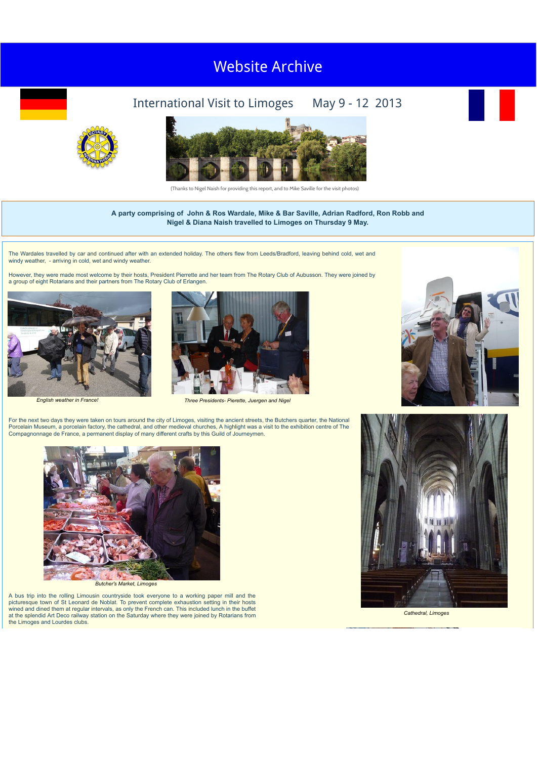## Visit to Clermont-Ferrand, May 2016 Visit to York, May [2018](http://newyorkrotary.moonfruit.com/international-visit-may-2018/4594307849?preview=Y) [Website Arch](http://newyorkrotary.moonfruit.com/international-visit-may-2016/4592358869?preview=Y)ive

## International Visit to Limoges May 9 - 12 2013







(Thanks to Nigel Naish for providing this report, and to Mike Saville for the visit photos)

## **A party comprising of John & Ros Wardale, Mike & Bar Saville, Adrian Radford, Ron Robb and Nigel & Diana Naish travelled to Limoges on Thursday 9 May.**

The Wardales travelled by car and continued after with an extended holiday. The others flew from Leeds/Bradford, leaving behind cold, wet and<br>windy weather, - arriving in cold, wet and windy weather.

However, they were made most welcome by their hosts, President Pierrette and her team from The Rotary Club of Aubusson. They were joined by a group of eight Rotarians and their partners from The Rotary Club of Erlangen.







*English weather in France! Three Presidents- Pierette, Juergen and Nigel*

For the next two days they were taken on tours around the city of Limoges, visiting the ancient streets, the Butchers quarter, the National Porcelain Museum, a porcelain factory, the cathedral, and other medieval churches, A highlight was a visit to the exhibition centre of The Compagnonnage de France, a permanent display of many different crafts by this Guild of Journeymen.





*Butcher's Market, Limoges*

A bus trip into the rolling Limousin countryside took everyone to a working paper mill and the picturesque town of St Leonard de Noblat. To prevent complete exhaustion setting in their hosts wined and dined them at regular intervals, as only the French can. This included lunch in the buffet at the splendid Art Deco railway station on the Saturday where they were joined by Rotarians from the Limoges and Lourdes clubs.



*Cathedral, Limoges*